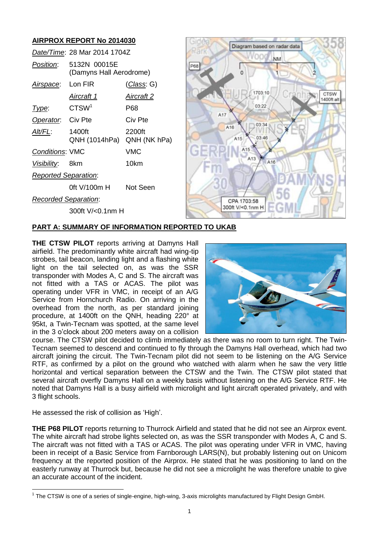# **AIRPROX REPORT No 2014030**

|                             | Date/Time: 28 Mar 2014 1704Z            |                   |
|-----------------------------|-----------------------------------------|-------------------|
| <i>Position</i> :           | 5132N 00015E<br>(Damyns Hall Aerodrome) |                   |
| Airspace:                   | Lon FIR                                 | (Class: G)        |
|                             | <u>Aircraft 1</u>                       | <u>Aircraft 2</u> |
| Type:                       | CTSW <sup>1</sup>                       | P68               |
| Operator. Civ Pte           |                                         | Civ Pte           |
| Alt/FL:                     | 1400ft<br>QNH (1014hPa) QNH (NK hPa)    | 2200ft            |
| <b>Conditions: VMC</b>      |                                         | VMC               |
| Visibility: 8km             |                                         | 10km              |
| <b>Reported Separation:</b> |                                         |                   |
|                             | 0ft V/100m H                            | Not Seen          |
| <b>Recorded Separation:</b> |                                         |                   |
|                             | 300ft V/<0.1nm H                        |                   |



### **PART A: SUMMARY OF INFORMATION REPORTED TO UKAB**

**THE CTSW PILOT** reports arriving at Damyns Hall airfield. The predominantly white aircraft had wing-tip strobes, tail beacon, landing light and a flashing white light on the tail selected on, as was the SSR transponder with Modes A, C and S. The aircraft was not fitted with a TAS or ACAS. The pilot was operating under VFR in VMC, in receipt of an A/G Service from Hornchurch Radio. On arriving in the overhead from the north, as per standard joining procedure, at 1400ft on the QNH, heading 220° at 95kt, a Twin-Tecnam was spotted, at the same level in the 3 o'clock about 200 meters away on a collision



course. The CTSW pilot decided to climb immediately as there was no room to turn right. The Twin-Tecnam seemed to descend and continued to fly through the Damyns Hall overhead, which had two aircraft joining the circuit. The Twin-Tecnam pilot did not seem to be listening on the A/G Service RTF, as confirmed by a pilot on the ground who watched with alarm when he saw the very little horizontal and vertical separation between the CTSW and the Twin. The CTSW pilot stated that several aircraft overfly Damyns Hall on a weekly basis without listening on the A/G Service RTF. He noted that Damyns Hall is a busy airfield with microlight and light aircraft operated privately, and with 3 flight schools.

He assessed the risk of collision as 'High'.

 $\overline{a}$ 

**THE P68 PILOT** reports returning to Thurrock Airfield and stated that he did not see an Airprox event. The white aircraft had strobe lights selected on, as was the SSR transponder with Modes A, C and S. The aircraft was not fitted with a TAS or ACAS. The pilot was operating under VFR in VMC, having been in receipt of a Basic Service from Farnborough LARS(N), but probably listening out on Unicom frequency at the reported position of the Airprox. He stated that he was positioning to land on the easterly runway at Thurrock but, because he did not see a microlight he was therefore unable to give an accurate account of the incident.

 $1$  The CTSW is one of a series of single-engine, high-wing, 3-axis microlights manufactured by Flight Design GmbH.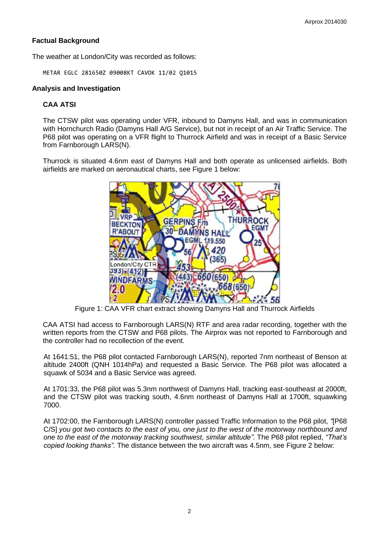# **Factual Background**

The weather at London/City was recorded as follows:

METAR EGLC 281650Z 09008KT CAVOK 11/02 Q1015

#### **Analysis and Investigation**

### **CAA ATSI**

The CTSW pilot was operating under VFR, inbound to Damyns Hall, and was in communication with Hornchurch Radio (Damyns Hall A/G Service), but not in receipt of an Air Traffic Service. The P68 pilot was operating on a VFR flight to Thurrock Airfield and was in receipt of a Basic Service from Farnborough LARS(N).

Thurrock is situated 4.6nm east of Damyns Hall and both operate as unlicensed airfields. Both airfields are marked on aeronautical charts, see Figure 1 below:



Figure 1: CAA VFR chart extract showing Damyns Hall and Thurrock Airfields

CAA ATSI had access to Farnborough LARS(N) RTF and area radar recording, together with the written reports from the CTSW and P68 pilots. The Airprox was not reported to Farnborough and the controller had no recollection of the event.

At 1641:51, the P68 pilot contacted Farnborough LARS(N), reported 7nm northeast of Benson at altitude 2400ft (QNH 1014hPa) and requested a Basic Service. The P68 pilot was allocated a squawk of 5034 and a Basic Service was agreed.

At 1701:33, the P68 pilot was 5.3nm northwest of Damyns Hall, tracking east-southeast at 2000ft, and the CTSW pilot was tracking south, 4.6nm northeast of Damyns Hall at 1700ft, squawking 7000.

At 1702:00, the Farnborough LARS(N) controller passed Traffic Information to the P68 pilot, *"*[P68 C/S] *you got two contacts to the east of you, one just to the west of the motorway northbound and one to the east of the motorway tracking southwest, similar altitude"*. The P68 pilot replied, *"That's copied looking thanks"*. The distance between the two aircraft was 4.5nm, see Figure 2 below: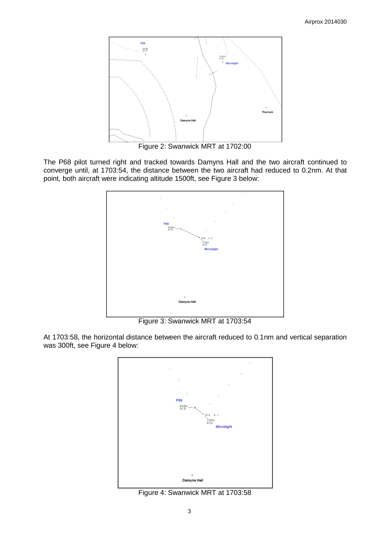

Figure 2: Swanwick MRT at 1702:00

The P68 pilot turned right and tracked towards Damyns Hall and the two aircraft continued to converge until, at 1703:54, the distance between the two aircraft had reduced to 0.2nm. At that point, both aircraft were indicating altitude 1500ft, see Figure 3 below:



Figure 3: Swanwick MRT at 1703:54

At 1703:58, the horizontal distance between the aircraft reduced to 0.1nm and vertical separation was 300ft, see Figure 4 below:



Figure 4: Swanwick MRT at 1703:58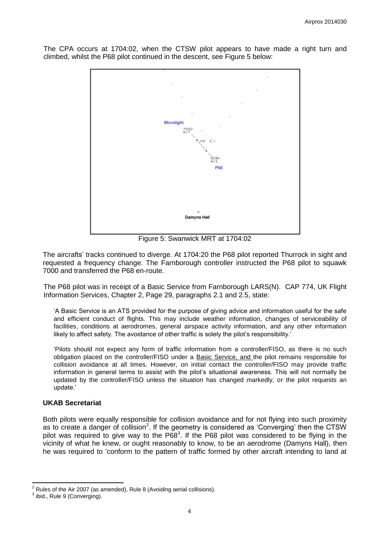The CPA occurs at 1704:02, when the CTSW pilot appears to have made a right turn and climbed, whilst the P68 pilot continued in the descent, see Figure 5 below:



Figure 5: Swanwick MRT at 1704:02

The aircrafts' tracks continued to diverge. At 1704:20 the P68 pilot reported Thurrock in sight and requested a frequency change. The Farnborough controller instructed the P68 pilot to squawk 7000 and transferred the P68 en-route.

The P68 pilot was in receipt of a Basic Service from Farnborough LARS(N). CAP 774, UK Flight Information Services, Chapter 2, Page 29, paragraphs 2.1 and 2.5, state:

'A Basic Service is an ATS provided for the purpose of giving advice and information useful for the safe and efficient conduct of flights. This may include weather information, changes of serviceability of facilities, conditions at aerodromes, general airspace activity information, and any other information likely to affect safety. The avoidance of other traffic is solely the pilot's responsibility.'

'Pilots should not expect any form of traffic information from a controller/FISO, as there is no such obligation placed on the controller/FISO under a Basic Service, and the pilot remains responsible for collision avoidance at all times. However, on initial contact the controller/FISO may provide traffic information in general terms to assist with the pilot's situational awareness. This will not normally be updated by the controller/FISO unless the situation has changed markedly, or the pilot requests an update.'

### **UKAB Secretariat**

Both pilots were equally responsible for collision avoidance and for not flying into such proximity as to create a danger of collision<sup>2</sup>. If the geometry is considered as 'Converging' then the CTSW pilot was required to give way to the P68<sup>3</sup>. If the P68 pilot was considered to be flying in the vicinity of what he knew, or ought reasonably to know, to be an aerodrome (Damyns Hall), then he was required to 'conform to the pattern of traffic formed by other aircraft intending to land at

 $\overline{\phantom{a}}$  $2$  Rules of the Air 2007 (as amended), Rule 8 (Avoiding aerial collisions).

 $3$  ibid., Rule 9 (Converging).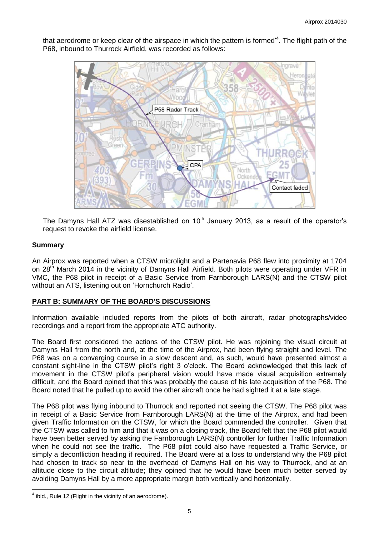that aerodrome or keep clear of the airspace in which the pattern is formed<sup>14</sup>. The flight path of the P68, inbound to Thurrock Airfield, was recorded as follows:



The Damyns Hall ATZ was disestablished on  $10<sup>th</sup>$  January 2013, as a result of the operator's request to revoke the airfield license.

#### **Summary**

 $\overline{a}$ 

An Airprox was reported when a CTSW microlight and a Partenavia P68 flew into proximity at 1704 on 28<sup>th</sup> March 2014 in the vicinity of Damyns Hall Airfield. Both pilots were operating under VFR in VMC, the P68 pilot in receipt of a Basic Service from Farnborough LARS(N) and the CTSW pilot without an ATS, listening out on 'Hornchurch Radio'.

### **PART B: SUMMARY OF THE BOARD'S DISCUSSIONS**

Information available included reports from the pilots of both aircraft, radar photographs/video recordings and a report from the appropriate ATC authority.

The Board first considered the actions of the CTSW pilot. He was rejoining the visual circuit at Damyns Hall from the north and, at the time of the Airprox, had been flying straight and level. The P68 was on a converging course in a slow descent and, as such, would have presented almost a constant sight-line in the CTSW pilot's right 3 o'clock. The Board acknowledged that this lack of movement in the CTSW pilot's peripheral vision would have made visual acquisition extremely difficult, and the Board opined that this was probably the cause of his late acquisition of the P68. The Board noted that he pulled up to avoid the other aircraft once he had sighted it at a late stage.

The P68 pilot was flying inbound to Thurrock and reported not seeing the CTSW. The P68 pilot was in receipt of a Basic Service from Farnborough LARS(N) at the time of the Airprox, and had been given Traffic Information on the CTSW, for which the Board commended the controller. Given that the CTSW was called to him and that it was on a closing track, the Board felt that the P68 pilot would have been better served by asking the Farnborough LARS(N) controller for further Traffic Information when he could not see the traffic. The P68 pilot could also have requested a Traffic Service, or simply a deconfliction heading if required. The Board were at a loss to understand why the P68 pilot had chosen to track so near to the overhead of Damyns Hall on his way to Thurrock, and at an altitude close to the circuit altitude; they opined that he would have been much better served by avoiding Damyns Hall by a more appropriate margin both vertically and horizontally.

 $<sup>4</sup>$  ibid., Rule 12 (Flight in the vicinity of an aerodrome).</sup>